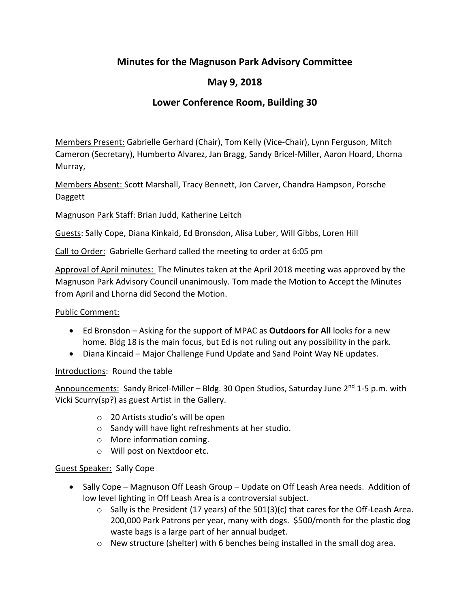## **Minutes for the Magnuson Park Advisory Committee**

# **May 9, 2018**

## **Lower Conference Room, Building 30**

Members Present: Gabrielle Gerhard (Chair), Tom Kelly (Vice-Chair), Lynn Ferguson, Mitch Cameron (Secretary), Humberto Alvarez, Jan Bragg, Sandy Bricel-Miller, Aaron Hoard, Lhorna Murray,

Members Absent: Scott Marshall, Tracy Bennett, Jon Carver, Chandra Hampson, Porsche Daggett

Magnuson Park Staff: Brian Judd, Katherine Leitch

Guests: Sally Cope, Diana Kinkaid, Ed Bronsdon, Alisa Luber, Will Gibbs, Loren Hill

Call to Order: Gabrielle Gerhard called the meeting to order at 6:05 pm

Approval of April minutes: The Minutes taken at the April 2018 meeting was approved by the Magnuson Park Advisory Council unanimously. Tom made the Motion to Accept the Minutes from April and Lhorna did Second the Motion.

#### Public Comment:

- Ed Bronsdon Asking for the support of MPAC as **Outdoors for All** looks for a new home. Bldg 18 is the main focus, but Ed is not ruling out any possibility in the park.
- Diana Kincaid Major Challenge Fund Update and Sand Point Way NE updates.

## Introductions: Round the table

Announcements: Sandy Bricel-Miller – Bldg. 30 Open Studios, Saturday June  $2^{nd}$  1-5 p.m. with Vicki Scurry(sp?) as guest Artist in the Gallery.

- o 20 Artists studio's will be open
- o Sandy will have light refreshments at her studio.
- o More information coming.
- o Will post on Nextdoor etc.

## Guest Speaker: Sally Cope

- Sally Cope Magnuson Off Leash Group Update on Off Leash Area needs. Addition of low level lighting in Off Leash Area is a controversial subject.
	- $\circ$  Sally is the President (17 years) of the 501(3)(c) that cares for the Off-Leash Area. 200,000 Park Patrons per year, many with dogs. \$500/month for the plastic dog waste bags is a large part of her annual budget.
	- o New structure (shelter) with 6 benches being installed in the small dog area.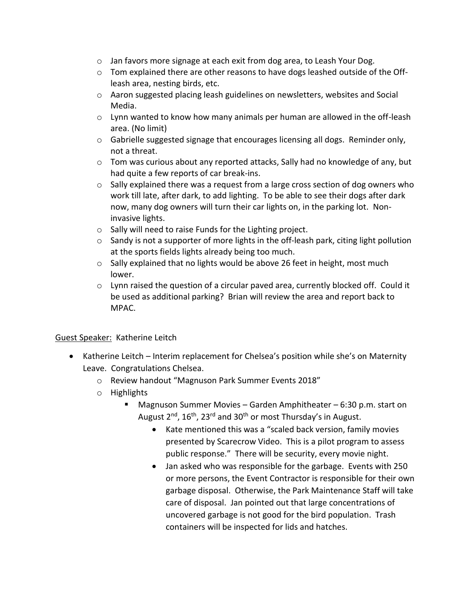- o Jan favors more signage at each exit from dog area, to Leash Your Dog.
- $\circ$  Tom explained there are other reasons to have dogs leashed outside of the Offleash area, nesting birds, etc.
- $\circ$  Aaron suggested placing leash guidelines on newsletters, websites and Social Media.
- $\circ$  Lynn wanted to know how many animals per human are allowed in the off-leash area. (No limit)
- $\circ$  Gabrielle suggested signage that encourages licensing all dogs. Reminder only, not a threat.
- $\circ$  Tom was curious about any reported attacks, Sally had no knowledge of any, but had quite a few reports of car break-ins.
- $\circ$  Sally explained there was a request from a large cross section of dog owners who work till late, after dark, to add lighting. To be able to see their dogs after dark now, many dog owners will turn their car lights on, in the parking lot. Noninvasive lights.
- o Sally will need to raise Funds for the Lighting project.
- $\circ$  Sandy is not a supporter of more lights in the off-leash park, citing light pollution at the sports fields lights already being too much.
- $\circ$  Sally explained that no lights would be above 26 feet in height, most much lower.
- $\circ$  Lynn raised the question of a circular paved area, currently blocked off. Could it be used as additional parking? Brian will review the area and report back to MPAC.

## Guest Speaker: Katherine Leitch

- Katherine Leitch Interim replacement for Chelsea's position while she's on Maternity Leave. Congratulations Chelsea.
	- o Review handout "Magnuson Park Summer Events 2018"
	- o Highlights
		- Magnuson Summer Movies Garden Amphitheater 6:30 p.m. start on August  $2^{nd}$ ,  $16^{th}$ ,  $23^{rd}$  and  $30^{th}$  or most Thursday's in August.
			- Kate mentioned this was a "scaled back version, family movies presented by Scarecrow Video. This is a pilot program to assess public response." There will be security, every movie night.
			- Jan asked who was responsible for the garbage. Events with 250 or more persons, the Event Contractor is responsible for their own garbage disposal. Otherwise, the Park Maintenance Staff will take care of disposal. Jan pointed out that large concentrations of uncovered garbage is not good for the bird population. Trash containers will be inspected for lids and hatches.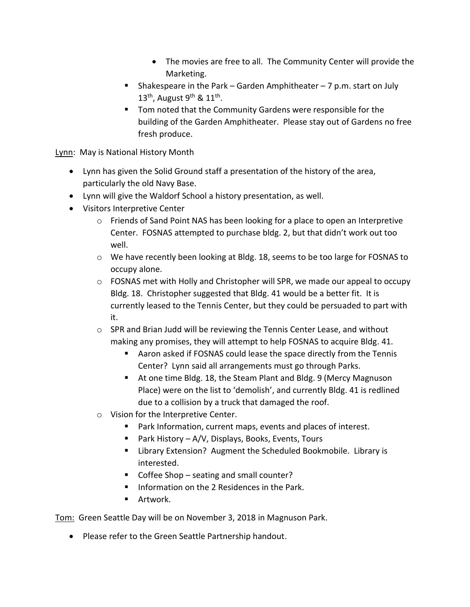- The movies are free to all. The Community Center will provide the Marketing.
- **E** Shakespeare in the Park Garden Amphitheater 7 p.m. start on July 13<sup>th</sup>, August 9<sup>th</sup> & 11<sup>th</sup>.
- Tom noted that the Community Gardens were responsible for the building of the Garden Amphitheater. Please stay out of Gardens no free fresh produce.

Lynn: May is National History Month

- Lynn has given the Solid Ground staff a presentation of the history of the area, particularly the old Navy Base.
- Lynn will give the Waldorf School a history presentation, as well.
- Visitors Interpretive Center
	- o Friends of Sand Point NAS has been looking for a place to open an Interpretive Center. FOSNAS attempted to purchase bldg. 2, but that didn't work out too well.
	- o We have recently been looking at Bldg. 18, seems to be too large for FOSNAS to occupy alone.
	- $\circ$  FOSNAS met with Holly and Christopher will SPR, we made our appeal to occupy Bldg. 18. Christopher suggested that Bldg. 41 would be a better fit. It is currently leased to the Tennis Center, but they could be persuaded to part with it.
	- $\circ$  SPR and Brian Judd will be reviewing the Tennis Center Lease, and without making any promises, they will attempt to help FOSNAS to acquire Bldg. 41.
		- Aaron asked if FOSNAS could lease the space directly from the Tennis Center? Lynn said all arrangements must go through Parks.
		- At one time Bldg. 18, the Steam Plant and Bldg. 9 (Mercy Magnuson Place) were on the list to 'demolish', and currently Bldg. 41 is redlined due to a collision by a truck that damaged the roof.
	- o Vision for the Interpretive Center.
		- Park Information, current maps, events and places of interest.
		- Park History A/V, Displays, Books, Events, Tours
		- Library Extension? Augment the Scheduled Bookmobile. Library is interested.
		- Coffee Shop seating and small counter?
		- Information on the 2 Residences in the Park.
		- Artwork.

Tom: Green Seattle Day will be on November 3, 2018 in Magnuson Park.

• Please refer to the Green Seattle Partnership handout.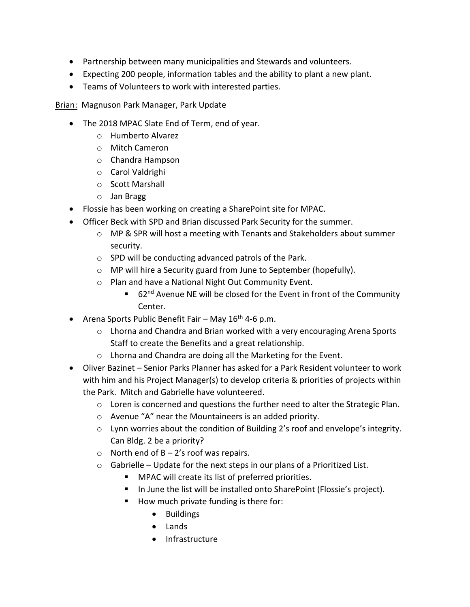- Partnership between many municipalities and Stewards and volunteers.
- Expecting 200 people, information tables and the ability to plant a new plant.
- Teams of Volunteers to work with interested parties.

**Brian: Magnuson Park Manager, Park Update** 

- The 2018 MPAC Slate End of Term, end of year.
	- o Humberto Alvarez
	- o Mitch Cameron
	- o Chandra Hampson
	- o Carol Valdrighi
	- o Scott Marshall
	- o Jan Bragg
- Flossie has been working on creating a SharePoint site for MPAC.
- Officer Beck with SPD and Brian discussed Park Security for the summer.
	- o MP & SPR will host a meeting with Tenants and Stakeholders about summer security.
	- o SPD will be conducting advanced patrols of the Park.
	- o MP will hire a Security guard from June to September (hopefully).
	- o Plan and have a National Night Out Community Event.
		- 62<sup>nd</sup> Avenue NE will be closed for the Event in front of the Community Center.
- Arena Sports Public Benefit Fair May  $16<sup>th</sup>$  4-6 p.m.
	- $\circ$  Lhorna and Chandra and Brian worked with a very encouraging Arena Sports Staff to create the Benefits and a great relationship.
	- o Lhorna and Chandra are doing all the Marketing for the Event.
- Oliver Bazinet Senior Parks Planner has asked for a Park Resident volunteer to work with him and his Project Manager(s) to develop criteria & priorities of projects within the Park. Mitch and Gabrielle have volunteered.
	- o Loren is concerned and questions the further need to alter the Strategic Plan.
	- o Avenue "A" near the Mountaineers is an added priority.
	- o Lynn worries about the condition of Building 2's roof and envelope's integrity. Can Bldg. 2 be a priority?
	- $\circ$  North end of B 2's roof was repairs.
	- $\circ$  Gabrielle Update for the next steps in our plans of a Prioritized List.
		- MPAC will create its list of preferred priorities.
		- In June the list will be installed onto SharePoint (Flossie's project).
		- How much private funding is there for:
			- Buildings
			- Lands
			- Infrastructure